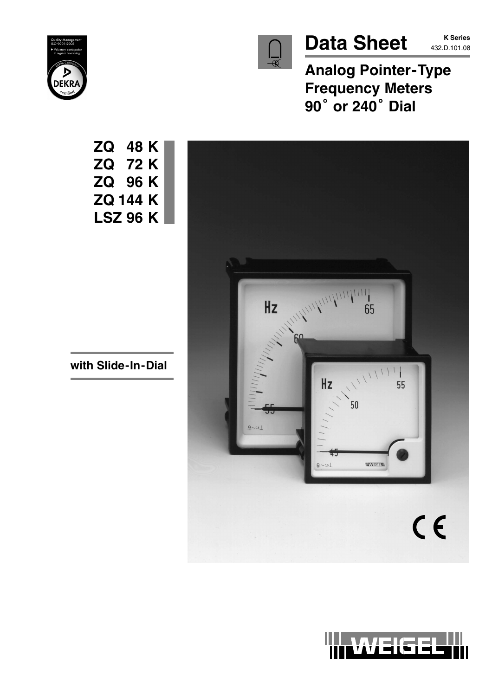

# Data Sheet **K Series**

**K Series**

**Analog Pointer-Type Frequency Meters** Analog Pointer-<br>Frequency Mete<br>90<sup>°</sup> or 240° Dial





**ZQ 48 K ZQ 72 K ZQ 96 K ZQ 144 K LSZ 96 K**

**with Slide-In-Dial**

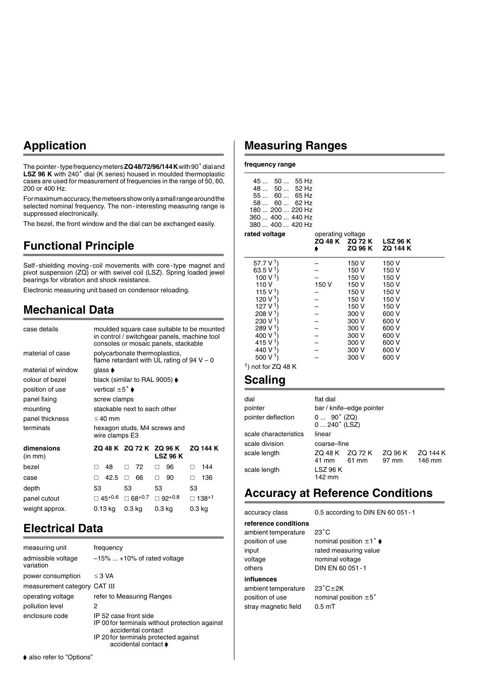## **Application**

The pointer - type frequency meters ZQ 48/72/96/144 K with 90° dial and LSZ 96 K with 240° dial (K series) housed in moulded thermoplastic cases are used for measurement of frequencies in the range of 50, 60, 200 or 400 Hz.

For maximum accuracy, the meteers show only a small range around the selected nominal frequency. The non-interesting measuring range is suppressed electronically.

The bezel, the front window and the dial can be exchanged easily.

### **Functional Principle**

Self-shielding moving-coil movements with core-type magnet and pivot suspension (ZQ) or with swivel coil (LSZ). Spring loaded jewel bearings for vibration and shock resistance.

Electronic measuring unit based on condensor reloading.

### **Mechanical Data**

| case details          |                                    |                                             | in control / switchgear panels, machine tool<br>consoles or mosaic panels, stackable | moulded square case suitable to be mounted |
|-----------------------|------------------------------------|---------------------------------------------|--------------------------------------------------------------------------------------|--------------------------------------------|
| material of case      |                                    | polycarbonate thermoplastics,               | flame retardant with UL rating of $94 V - 0$                                         |                                            |
| material of window    | glass <b>♦</b>                     |                                             |                                                                                      |                                            |
| colour of bezel       |                                    | black (similar to RAL 9005) $\blacklozenge$ |                                                                                      |                                            |
| position of use       | vertical $\pm 5^{\circ}$ $\bullet$ |                                             |                                                                                      |                                            |
| panel fixing          | screw clamps                       |                                             |                                                                                      |                                            |
| mounting              |                                    | stackable next to each other                |                                                                                      |                                            |
| panel thickness       | $\leq 40$ mm                       |                                             |                                                                                      |                                            |
| terminals             | wire clamps E3                     |                                             | hexagon studs, M4 screws and                                                         |                                            |
| dimensions<br>(in mm) |                                    | ZQ 48 K ZQ 72 K ZQ 96 K                     | <b>LSZ 96 K</b>                                                                      | <b>ZQ 144 K</b>                            |
| bezel                 | 48<br>П                            | 72<br>П.                                    | 96<br>п                                                                              | 144<br>п                                   |
| case                  | 42.5                               | 66<br>п                                     | 90<br>п                                                                              | 136<br>п                                   |
| depth                 | 53                                 | 53                                          | 53                                                                                   | 53                                         |
| panel cutout          | $\square$ 45+0.6                   | $\Box$ 68+0.7                               | $\Box$ 92+0.8                                                                        | ⊞ 138+1                                    |
| weight approx.        | 0.13 kg                            | 0.3 <sub>kq</sub>                           | 0.3 <sub>kq</sub>                                                                    | 0.3 kg                                     |

### **Electrical Data**

| measuring unit<br>admissible voltage<br>variation | frequency<br>$-15\%$ +10% of rated voltage                                                                                                                     |
|---------------------------------------------------|----------------------------------------------------------------------------------------------------------------------------------------------------------------|
| power consumption                                 | $\leq$ 3 VA                                                                                                                                                    |
| measurement category CAT III                      |                                                                                                                                                                |
| operating voltage<br>pollution level              | refer to Measuring Ranges<br>2                                                                                                                                 |
| enclosure code                                    | IP 52 case front side<br>IP 00 for terminals without protection against<br>accidental contact<br>IP 20 for terminals protected against<br>accidental contact ♦ |

### **Measuring Ranges**

**frequency range**

 $\overline{a}$ 

|                  | ZQ 48 K ZQ 72<br>ZQ 96 |
|------------------|------------------------|
| rated voltage    | operating voltage      |
| 380  400  420 Hz |                        |
| 360  400  440 Hz |                        |
| $180200220$ Hz   |                        |
| $58$ 60  62 Hz   |                        |
| $55$ 60  65 Hz   |                        |
| 48  50  52 Hz    |                        |
| 45  50  55 Hz    |                        |
|                  |                        |

|                       | ZQ 48 K | ZQ 72 K<br>ZQ 96 K | <b>LSZ 96 K</b><br><b>ZQ 144 K</b> |
|-----------------------|---------|--------------------|------------------------------------|
| 57.7 V <sup>1</sup> ) |         | 150 V              | 150 V                              |
| 63.5 V <sup>1</sup> ) |         | 150 V              | 150 V                              |
| 100 V <sup>1</sup> )  |         | 150 V              | 150 V                              |
| 110 V                 | 150 V   | 150 V              | 150 V                              |
| 115 V <sup>1</sup> )  |         | 150 V              | 150 V                              |
| 120 V <sup>1</sup> )  |         | 150 V              | 150 V                              |
| 127 V <sup>1</sup> )  |         | 150 V              | 150 V                              |
| 208 V <sup>1</sup> )  |         | 300 V              | 600 V                              |
| 230 V <sup>1</sup>    |         | 300 V              | 600 V                              |
| 289 V <sup>1</sup>    |         | 300 V              | 600 V                              |
| 400 V <sup>1</sup> )  |         | 300 V              | 600 V                              |
| 415 V <sup>1</sup>    |         | 300 V              | 600 V                              |
| 440 V <sup>1</sup> )  |         | 300 V              | 600 V                              |
| 500 V <sup>1</sup> )  |         | 300 V              | 600 V                              |
|                       |         |                    |                                    |

 $<sup>1</sup>$ ) not for ZQ 48 K</sup>

#### **Scaling**

| dial<br>pointer<br>pointer deflection | flat dial<br>$0 90^{\circ}$ (ZQ)<br>$0240^\circ$ (LSZ) | bar / knife-edge pointer |                  |                    |
|---------------------------------------|--------------------------------------------------------|--------------------------|------------------|--------------------|
| scale characteristics                 | linear                                                 |                          |                  |                    |
| scale division                        | coarse-fine                                            |                          |                  |                    |
| scale length                          | ZQ 48 K ZQ 72 K<br>41 mm                               | 61 mm                    | ZQ 96 K<br>97 mm | ZQ 144 K<br>146 mm |
| scale length                          | <b>LSZ 96 K</b><br>142 mm                              |                          |                  |                    |
|                                       |                                                        |                          |                  |                    |

### **Accuracy at Reference Conditions**

accuracy class 0.5 according to DIN EN 60 051-1

**reference conditions**

ambient temperature 23°C voltage nominal voltage others DIN EN 60 051-1 **influences** ambient temperature  $23^{\circ}$ C $\pm$ 2K stray magnetic field 0.5 mT

position of use nominal position  $\pm 1^\circ \bullet$ input rated measuring value

position of use nominal position  $\pm 5^{\circ}$ 

 $\blacklozenge$  also refer to "Options"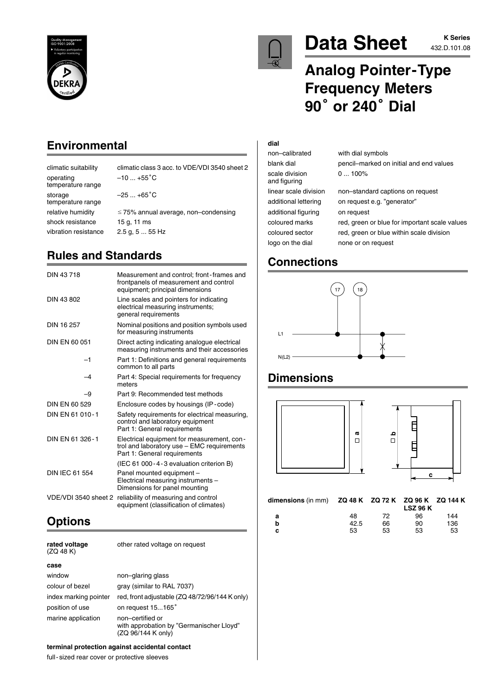



# Data Sheet **432.D.101.08**

# **Analog Pointer-Type Frequency Meters** Analog Pointer-<br>Frequency Mete<br>90<sup>°</sup> or 240° Dial

## **Environmental**

| climatic suitability           | climatic class 3 acc. to VDE/VDI 3540 sheet 2 |
|--------------------------------|-----------------------------------------------|
| operating<br>temperature range | $-10$ +55 <sup>°</sup> C                      |
| storage<br>temperature range   | $-25+65^{\circ}C$                             |
| relative humidity              | $\leq$ 75% annual average, non-condensing     |
| shock resistance               | 15 g, 11 ms                                   |
| vibration resistance           | $2.5$ g, $555$ Hz                             |
|                                |                                               |

# **Rules and Standards**

| DIN 43718            | Measurement and control; front-frames and<br>frontpanels of measurement and control<br>equipment; principal dimensions   |
|----------------------|--------------------------------------------------------------------------------------------------------------------------|
| DIN 43 802           | Line scales and pointers for indicating<br>electrical measuring instruments;<br>general requirements                     |
| DIN 16 257           | Nominal positions and position symbols used<br>for measuring instruments                                                 |
| DIN EN 60 051        | Direct acting indicating analogue electrical<br>measuring instruments and their accessories                              |
| -1                   | Part 1: Definitions and general requirements<br>common to all parts                                                      |
| $-4$                 | Part 4: Special requirements for frequency<br>meters                                                                     |
| -9                   | Part 9: Recommended test methods                                                                                         |
| DIN EN 60 529        | Enclosure codes by housings (IP-code)                                                                                    |
| DIN EN 61 010-1      | Safety requirements for electrical measuring,<br>control and laboratory equipment<br>Part 1: General requirements        |
| DIN EN 61 326-1      | Electrical equipment for measurement, con-<br>trol and laboratory use - EMC requirements<br>Part 1: General requirements |
|                      | (IEC 61 000 - 4 - 3 evaluation criterion B)                                                                              |
| DIN IEC 61 554       | Panel mounted equipment -<br>Electrical measuring instruments -<br>Dimensions for panel mounting                         |
| VDE/VDI 3540 sheet 2 | reliability of measuring and control<br>equipment (classification of climates)                                           |

# **Options**

| rated voltage<br>(ZQ 48 K) | other rated voltage on request                                                     |
|----------------------------|------------------------------------------------------------------------------------|
| case                       |                                                                                    |
| window                     | non-glaring glass                                                                  |
| colour of bezel            | gray (similar to RAL 7037)                                                         |
| index marking pointer      | red, front adjustable (ZQ 48/72/96/144 K only)                                     |
| position of use            | on request 15165°                                                                  |
| marine application         | non-certified or<br>with approbation by "Germanischer Lloyd"<br>(ZQ 96/144 K only) |

#### **terminal protection against accidental contact**

full-sized rear cover or protective sleeves

#### **dial**

non–calibrated with dial symbols scale division 0 ... 100% and figuring additional figuring on request logo on the dial none or on request

# blank dial pencil–marked on initial and end values linear scale division non–standard captions on request

additional lettering on request e.g. "generator" coloured marks red, green or blue for important scale values coloured sector red, green or blue within scale division

# **Connections**



## **Dimensions**



**b** 42.5 66 90 136 **c** 53 53 53 53